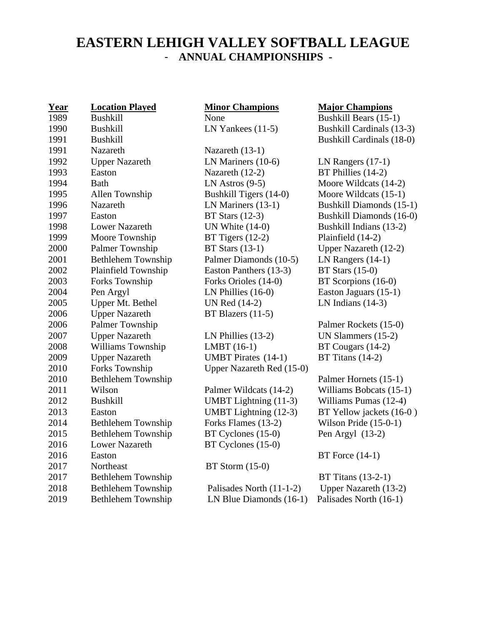## **EASTERN LEHIGH VALLEY SOFTBALL LEAGUE** - **ANNUAL CHAMPIONSHIPS -**

| Year | <b>Location Played</b>    | <b>Minor Champions</b>       |
|------|---------------------------|------------------------------|
| 1989 | <b>Bushkill</b>           | None                         |
| 1990 | <b>Bushkill</b>           | LN Yankees $(11-5)$          |
| 1991 | <b>Bushkill</b>           |                              |
| 1991 | Nazareth                  | Nazareth (13-1)              |
| 1992 | <b>Upper Nazareth</b>     | LN Mariners (10-6)           |
| 1993 | Easton                    | Nazareth (12-2)              |
| 1994 | <b>Bath</b>               | LN Astros $(9-5)$            |
| 1995 | Allen Township            | Bushkill Tigers (14-0)       |
| 1996 | Nazareth                  | LN Mariners (13-1)           |
| 1997 | Easton                    | BT Stars $(12-3)$            |
| 1998 | <b>Lower Nazareth</b>     | UN White $(14-0)$            |
| 1999 | Moore Township            | BT Tigers $(12-2)$           |
| 2000 | Palmer Township           | <b>BT Stars (13-1)</b>       |
| 2001 | Bethlehem Township        | Palmer Diamonds (10-5)       |
| 2002 | Plainfield Township       | Easton Panthers (13-3)       |
| 2003 | Forks Township            | Forks Orioles (14-0)         |
| 2004 | Pen Argyl                 | LN Phillies (16-0)           |
| 2005 | Upper Mt. Bethel          | UN Red (14-2)                |
| 2006 | <b>Upper Nazareth</b>     | BT Blazers (11-5)            |
| 2006 | Palmer Township           |                              |
| 2007 | <b>Upper Nazareth</b>     | LN Phillies $(13-2)$         |
| 2008 | Williams Township         | LMBT (16-1)                  |
| 2009 | <b>Upper Nazareth</b>     | <b>UMBT</b> Pirates (14-1)   |
| 2010 | Forks Township            | Upper Nazareth Red (15-0)    |
| 2010 | Bethlehem Township        |                              |
| 2011 | Wilson                    | Palmer Wildcats (14-2)       |
| 2012 | <b>Bushkill</b>           | <b>UMBT</b> Lightning (11-3) |
| 2013 | Easton                    | <b>UMBT</b> Lightning (12-3) |
| 2014 | Bethlehem Township        | Forks Flames (13-2)          |
| 2015 | Bethlehem Township        | BT Cyclones (15-0)           |
| 2016 | <b>Lower Nazareth</b>     | BT Cyclones (15-0)           |
| 2016 | Easton                    |                              |
| 2017 | Northeast                 | $BT$ Storm $(15-0)$          |
| 2017 | Bethlehem Township        |                              |
| 2018 | <b>Bethlehem Township</b> | Palisades North (11-1-2)     |
| 2019 | <b>Bethlehem Township</b> | LN Blue Diamonds (16-1)      |

## **Year Location Played Minor Champions Major Champions**

Bushkill Bears (15-1) kees  $(11-5)$  Bushkill Cardinals  $(13-3)$ Bushkill Cardinals (18-0)

 $10P(10-6)$  LN Rangers (17-1)  $1(12-2)$  BT Phillies (14-2)  $\cos(9-5)$  Moore Wildcats (14-2)  $Tigers (14-0)$  Moore Wildcats  $(15-1)$  $1996$   $\mu$  Bushkill Diamonds (15-1)  $12-3$  Bushkill Diamonds (16-0)  $\text{Ite (14-0)}$  Bushkill Indians (13-2)  $\text{res } (12-2)$  Plainfield (14-2)  $20(13-1)$  Upper Nazareth (12-2)  $Diamonds (10-5)$  LN Rangers (14-1) Panthers  $(13-3)$  BT Stars  $(15-0)$  $\text{rioles } (14-0)$  BT Scorpions (16-0)  $2 \text{ lies } (16-0)$  Easton Jaguars  $(15-1)$  $(14-2)$  LN Indians  $(14-3)$ 

Palmer Rockets (15-0)  $20 \text{ UN Slammers } (15-2)$  $20(16-1)$  BT Cougars (14-2)  $P$ irates (14-1) BT Titans (14-2)

Palmer Hornets (15-1)  $\text{Wildcats } (14-2) \quad \text{Williams Bobcats } (15-1)$  $Lighthing (11-3)$  Williams Pumas (12-4)  $Lighthing (12-3)$  BT Yellow jackets (16-0) ames  $(13-2)$  Wilson Pride  $(15-0-1)$  $20n$ em Argyl (13-2) Pen Argyl (13-2)

 $BT$  Force  $(14-1)$ 

 $BT$  Titans (13-2-1)  $\text{P}_2$  Bes North (11-1-2) Upper Nazareth (13-2)  $e$  Diamonds (16-1) Palisades North (16-1)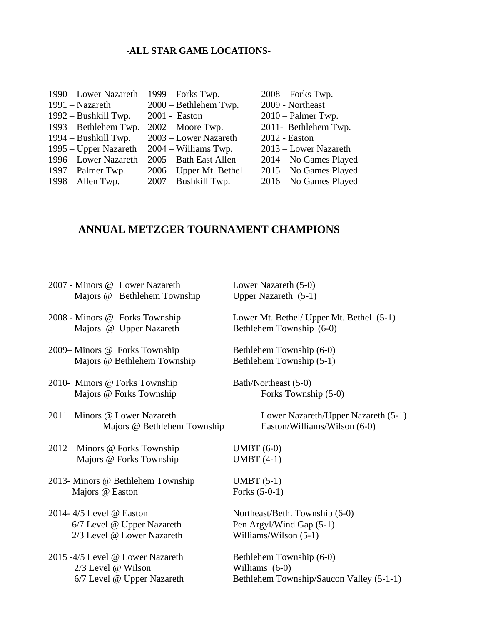## **-ALL STAR GAME LOCATIONS-**

| 1990 – Lower Nazareth  | $1999$ – Forks Twp.       | $2008$ – Forks Twp.    |
|------------------------|---------------------------|------------------------|
| 1991 – Nazareth        | 2000 - Bethlehem Twp.     | 2009 - Northeast       |
| 1992 – Bushkill Twp.   | 2001 - Easton             | $2010$ – Palmer Twp.   |
| 1993 – Bethlehem Twp.  | $2002 - Moore$ Twp.       | 2011- Bethlehem Twp.   |
| $1994 - Bushkill$ Twp. | 2003 – Lower Nazareth     | 2012 - Easton          |
| 1995 – Upper Nazareth  | $2004 - Williams$ Twp.    | 2013 – Lower Nazareth  |
| 1996 – Lower Nazareth  | 2005 - Bath East Allen    | 2014 – No Games Played |
| $1997$ – Palmer Twp.   | $2006 - Upper$ Mt. Bethel | 2015 – No Games Played |
| $1998 -$ Allen Twp.    | 2007 – Bushkill Twp.      | 2016 – No Games Played |

## **ANNUAL METZGER TOURNAMENT CHAMPIONS**

| 2007 - Minors @ Lower Nazareth<br>Majors @ Bethlehem Township                        | Lower Nazareth (5-0)<br>Upper Nazareth $(5-1)$                                         |
|--------------------------------------------------------------------------------------|----------------------------------------------------------------------------------------|
| 2008 - Minors @ Forks Township<br>Majors @ Upper Nazareth                            | Lower Mt. Bethel/ Upper Mt. Bethel (5-1)<br>Bethlehem Township (6-0)                   |
| 2009–Minors @ Forks Township<br>Majors @ Bethlehem Township                          | Bethlehem Township (6-0)<br>Bethlehem Township (5-1)                                   |
| 2010- Minors @ Forks Township<br>Majors @ Forks Township                             | Bath/Northeast (5-0)<br>Forks Township (5-0)                                           |
| 2011–Minors @ Lower Nazareth<br>Majors @ Bethlehem Township                          | Lower Nazareth/Upper Nazareth (5-1)<br>Easton/Williams/Wilson (6-0)                    |
| 2012 – Minors @ Forks Township<br>Majors @ Forks Township                            | $UMBT(6-0)$<br>UMBT $(4-1)$                                                            |
| 2013- Minors @ Bethlehem Township<br>Majors @ Easton                                 | UMBT $(5-1)$<br>Forks $(5-0-1)$                                                        |
| 2014-4/5 Level @ Easton<br>6/7 Level @ Upper Nazareth<br>2/3 Level @ Lower Nazareth  | Northeast/Beth. Township (6-0)<br>Pen Argyl/Wind Gap (5-1)<br>Williams/Wilson $(5-1)$  |
| 2015 -4/5 Level @ Lower Nazareth<br>2/3 Level @ Wilson<br>6/7 Level @ Upper Nazareth | Bethlehem Township (6-0)<br>Williams (6-0)<br>Bethlehem Township/Saucon Valley (5-1-1) |